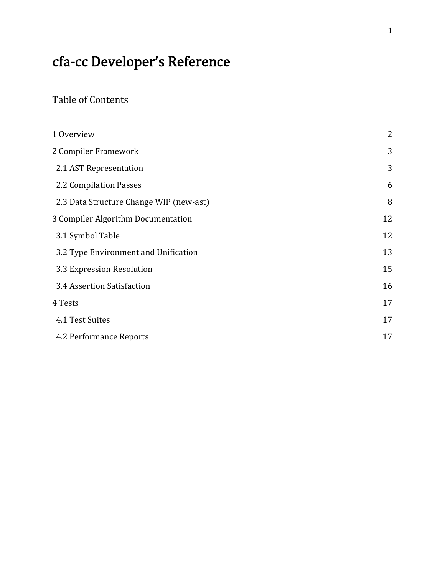# cfa-cc Developer's Reference

Table of Contents

| 1 Overview                              | $\overline{2}$ |
|-----------------------------------------|----------------|
| 2 Compiler Framework                    | 3              |
| 2.1 AST Representation                  | 3              |
| 2.2 Compilation Passes                  | 6              |
| 2.3 Data Structure Change WIP (new-ast) | 8              |
| 3 Compiler Algorithm Documentation      | 12             |
| 3.1 Symbol Table                        | 12             |
| 3.2 Type Environment and Unification    | 13             |
| 3.3 Expression Resolution               | 15             |
| 3.4 Assertion Satisfaction              | 16             |
| 4 Tests                                 | 17             |
| 4.1 Test Suites                         | 17             |
| 4.2 Performance Reports                 | 17             |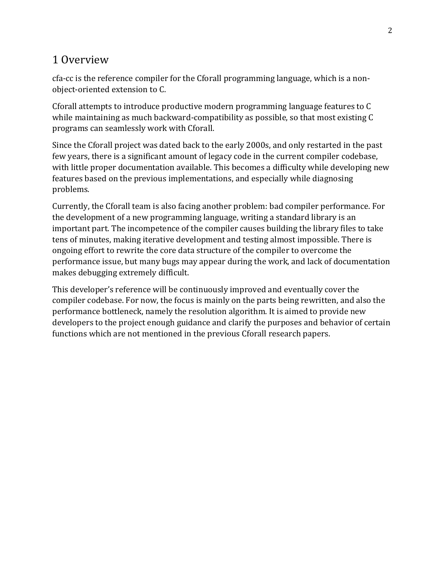# 1 Overview

cfa-cc is the reference compiler for the Cforall programming language, which is a nonobject-oriented extension to C.

Cforall attempts to introduce productive modern programming language features to C while maintaining as much backward-compatibility as possible, so that most existing C programs can seamlessly work with Cforall.

Since the Cforall project was dated back to the early 2000s, and only restarted in the past few years, there is a significant amount of legacy code in the current compiler codebase, with little proper documentation available. This becomes a difficulty while developing new features based on the previous implementations, and especially while diagnosing problems.

Currently, the Cforall team is also facing another problem: bad compiler performance. For the development of a new programming language, writing a standard library is an important part. The incompetence of the compiler causes building the library files to take tens of minutes, making iterative development and testing almost impossible. There is ongoing effort to rewrite the core data structure of the compiler to overcome the performance issue, but many bugs may appear during the work, and lack of documentation makes debugging extremely difficult.

This developer's reference will be continuously improved and eventually cover the compiler codebase. For now, the focus is mainly on the parts being rewritten, and also the performance bottleneck, namely the resolution algorithm. It is aimed to provide new developers to the project enough guidance and clarify the purposes and behavior of certain functions which are not mentioned in the previous Cforall research papers.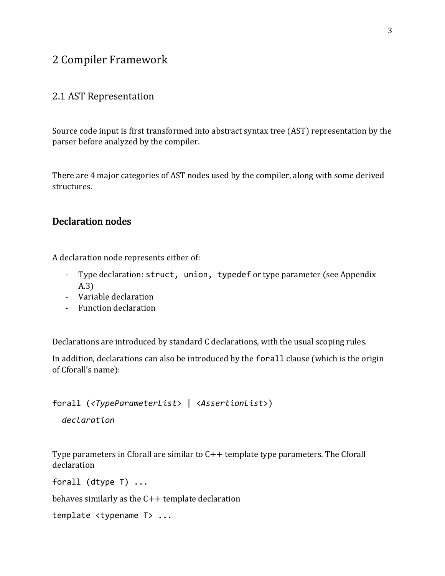# 2 Compiler Framework

#### 2.1 AST Representation

Source code input is first transformed into abstract syntax tree (AST) representation by the parser before analyzed by the compiler.

There are 4 major categories of AST nodes used by the compiler, along with some derived structures.

### Declaration nodes

A declaration node represents either of:

- Type declaration: struct, union, typedef or type parameter (see Appendix A.3)
- Variable declaration
- Function declaration

Declarations are introduced by standard C declarations, with the usual scoping rules.

In addition, declarations can also be introduced by the forall clause (which is the origin of Cforall's name):

```
forall (<TypeParameterList> | <AssertionList>)
```
*declaration*

Type parameters in Cforall are similar to C++ template type parameters. The Cforall declaration

forall (dtype T) ...

behaves similarly as the  $C++$  template declaration

template <typename T> ...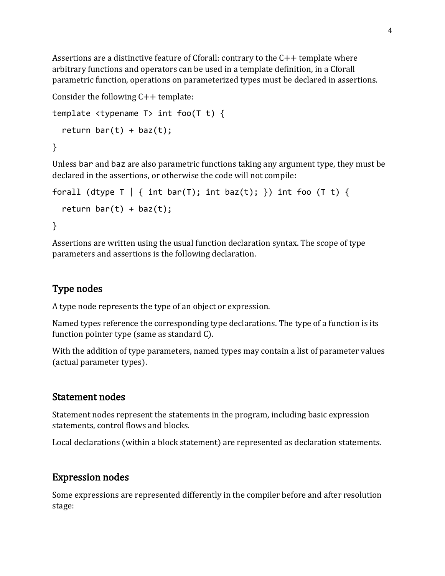Assertions are a distinctive feature of Cforall: contrary to the C++ template where arbitrary functions and operators can be used in a template definition, in a Cforall parametric function, operations on parameterized types must be declared in assertions.

```
Consider the following C++ template:
```

```
template <typename T> int foo(T t) {
  return bar(t) + baz(t);
}
```
Unless bar and baz are also parametric functions taking any argument type, they must be declared in the assertions, or otherwise the code will not compile:

```
forall (dtype T \mid \{ int bar(T); int baz(t); }) int foo (T t) {
  return bar(t) + baz(t);
}
```
Assertions are written using the usual function declaration syntax. The scope of type parameters and assertions is the following declaration.

# Type nodes

A type node represents the type of an object or expression.

Named types reference the corresponding type declarations. The type of a function is its function pointer type (same as standard C).

With the addition of type parameters, named types may contain a list of parameter values (actual parameter types).

# Statement nodes

Statement nodes represent the statements in the program, including basic expression statements, control flows and blocks.

Local declarations (within a block statement) are represented as declaration statements.

# Expression nodes

Some expressions are represented differently in the compiler before and after resolution stage: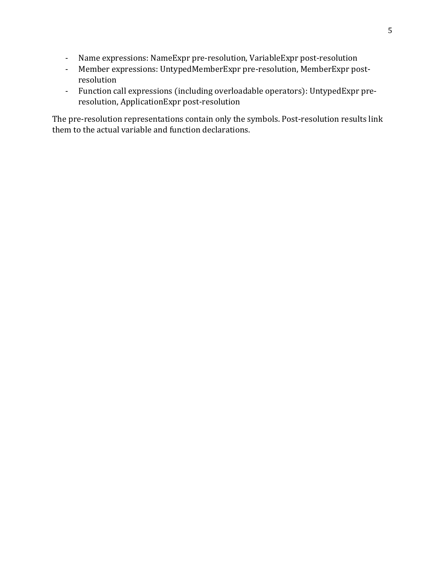- Name expressions: NameExpr pre-resolution, VariableExpr post-resolution
- Member expressions: UntypedMemberExpr pre-resolution, MemberExpr postresolution
- Function call expressions (including overloadable operators): UntypedExpr preresolution, ApplicationExpr post-resolution

The pre-resolution representations contain only the symbols. Post-resolution results link them to the actual variable and function declarations.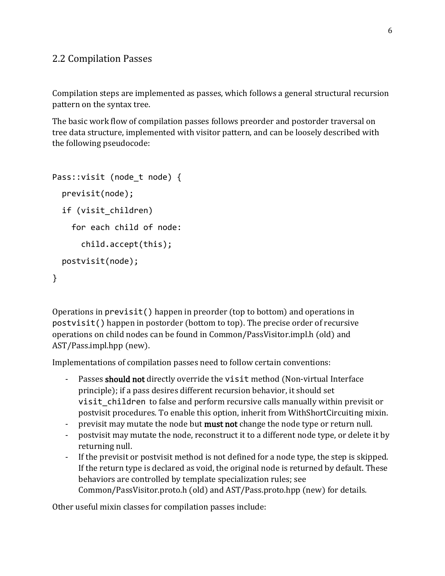### 2.2 Compilation Passes

Compilation steps are implemented as passes, which follows a general structural recursion pattern on the syntax tree.

The basic work flow of compilation passes follows preorder and postorder traversal on tree data structure, implemented with visitor pattern, and can be loosely described with the following pseudocode:

```
Pass::visit (node_t node) {
   previsit(node);
   if (visit_children)
     for each child of node:
       child.accept(this);
   postvisit(node);
}
```
Operations in previsit() happen in preorder (top to bottom) and operations in postvisit() happen in postorder (bottom to top). The precise order of recursive operations on child nodes can be found in Common/PassVisitor.impl.h (old) and AST/Pass.impl.hpp (new).

Implementations of compilation passes need to follow certain conventions:

- Passes should not directly override the visit method (Non-virtual Interface principle); if a pass desires different recursion behavior, it should set visit children to false and perform recursive calls manually within previsit or postvisit procedures. To enable this option, inherit from WithShortCircuiting mixin.
- previsit may mutate the node but **must not** change the node type or return null.
- postvisit may mutate the node, reconstruct it to a different node type, or delete it by returning null.
- If the previsit or postvisit method is not defined for a node type, the step is skipped. If the return type is declared as void, the original node is returned by default. These behaviors are controlled by template specialization rules; see Common/PassVisitor.proto.h (old) and AST/Pass.proto.hpp (new) for details.

Other useful mixin classes for compilation passes include: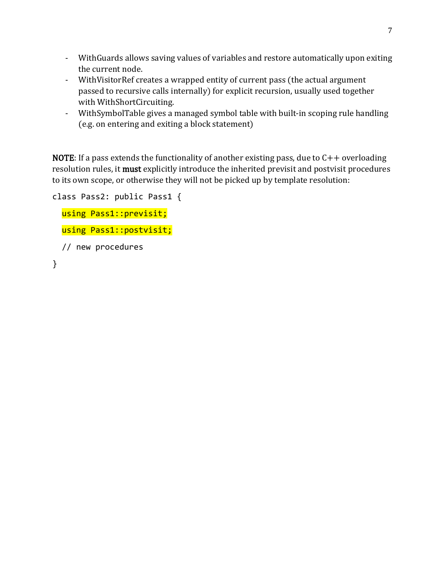- WithGuards allows saving values of variables and restore automatically upon exiting the current node.
- WithVisitorRef creates a wrapped entity of current pass (the actual argument passed to recursive calls internally) for explicit recursion, usually used together with WithShortCircuiting.
- WithSymbolTable gives a managed symbol table with built-in scoping rule handling (e.g. on entering and exiting a block statement)

**NOTE:** If a pass extends the functionality of another existing pass, due to  $C++$  overloading resolution rules, it must explicitly introduce the inherited previsit and postvisit procedures to its own scope, or otherwise they will not be picked up by template resolution:

```
class Pass2: public Pass1 {
  using Pass1::previsit;
  using Pass1::postvisit;
  // new procedures
}
```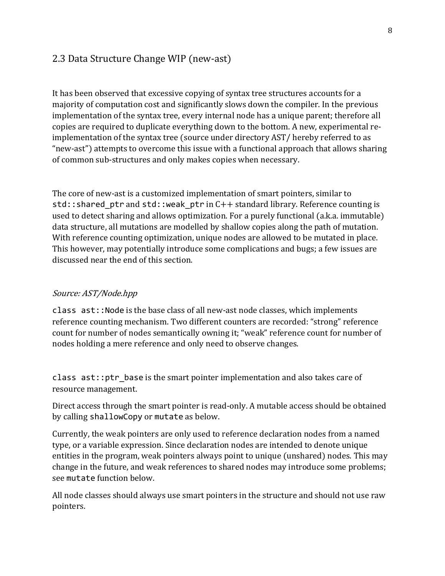### 2.3 Data Structure Change WIP (new-ast)

It has been observed that excessive copying of syntax tree structures accounts for a majority of computation cost and significantly slows down the compiler. In the previous implementation of the syntax tree, every internal node has a unique parent; therefore all copies are required to duplicate everything down to the bottom. A new, experimental reimplementation of the syntax tree (source under directory AST/ hereby referred to as "new-ast") attempts to overcome this issue with a functional approach that allows sharing of common sub-structures and only makes copies when necessary.

The core of new-ast is a customized implementation of smart pointers, similar to std:: shared ptr and std::weak ptr in C++ standard library. Reference counting is used to detect sharing and allows optimization. For a purely functional (a.k.a. immutable) data structure, all mutations are modelled by shallow copies along the path of mutation. With reference counting optimization, unique nodes are allowed to be mutated in place. This however, may potentially introduce some complications and bugs; a few issues are discussed near the end of this section.

#### Source: AST/Node.hpp

class ast::Node is the base class of all new-ast node classes, which implements reference counting mechanism. Two different counters are recorded: "strong" reference count for number of nodes semantically owning it; "weak" reference count for number of nodes holding a mere reference and only need to observe changes.

class ast::ptr base is the smart pointer implementation and also takes care of resource management.

Direct access through the smart pointer is read-only. A mutable access should be obtained by calling shallowCopy or mutate as below.

Currently, the weak pointers are only used to reference declaration nodes from a named type, or a variable expression. Since declaration nodes are intended to denote unique entities in the program, weak pointers always point to unique (unshared) nodes. This may change in the future, and weak references to shared nodes may introduce some problems; see mutate function below.

All node classes should always use smart pointers in the structure and should not use raw pointers.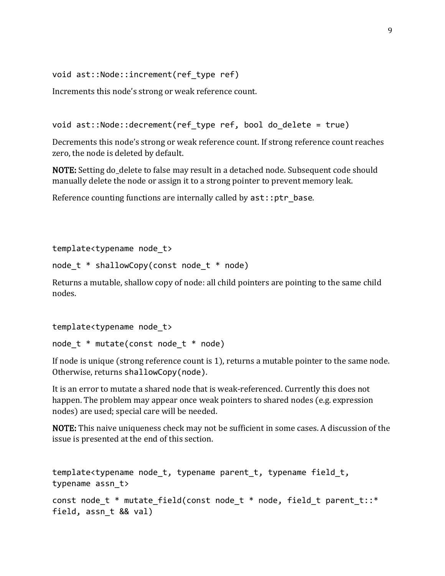```
void ast::Node::increment(ref_type ref)
```
Increments this node's strong or weak reference count.

```
void ast::Node::decrement(ref_type ref, bool do_delete = true)
```
Decrements this node's strong or weak reference count. If strong reference count reaches zero, the node is deleted by default.

**NOTE:** Setting do delete to false may result in a detached node. Subsequent code should manually delete the node or assign it to a strong pointer to prevent memory leak.

Reference counting functions are internally called by  $ast::ptr$  base.

template<typename node\_t>

```
node_t * shallowCopy(const node_t * node)
```
Returns a mutable, shallow copy of node: all child pointers are pointing to the same child nodes.

```
template<typename node_t>
```

```
node t * mutate(const node t * node)
```
If node is unique (strong reference count is 1), returns a mutable pointer to the same node. Otherwise, returns shallowCopy(node).

It is an error to mutate a shared node that is weak-referenced. Currently this does not happen. The problem may appear once weak pointers to shared nodes (e.g. expression nodes) are used; special care will be needed.

NOTE: This naive uniqueness check may not be sufficient in some cases. A discussion of the issue is presented at the end of this section.

```
template<typename node t, typename parent t, typename field t,
typename assn_t>
const node_t * mutate_field(const node_t * node, field_t parent_t::* 
field, assn_t && val)
```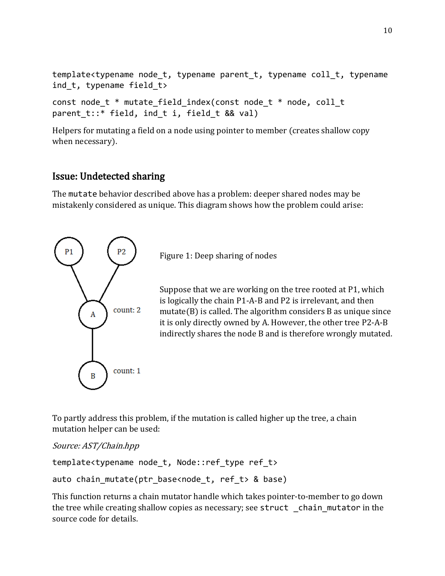```
template<typename node_t, typename parent_t, typename coll_t, typename 
ind t, typename field t>
const node_t * mutate_field_index(const node_t * node, coll_t 
parent t::* field, ind t i, field t && val)
```
Helpers for mutating a field on a node using pointer to member (creates shallow copy when necessary).

### Issue: Undetected sharing

The mutate behavior described above has a problem: deeper shared nodes may be mistakenly considered as unique. This diagram shows how the problem could arise:



Figure 1: Deep sharing of nodes

Suppose that we are working on the tree rooted at P1, which is logically the chain P1-A-B and P2 is irrelevant, and then mutate(B) is called. The algorithm considers B as unique since it is only directly owned by A. However, the other tree P2-A-B indirectly shares the node B and is therefore wrongly mutated.

To partly address this problem, if the mutation is called higher up the tree, a chain mutation helper can be used:

Source: AST/Chain.hpp

```
template<typename node t, Node::ref type ref t>
```

```
auto chain_mutate(ptr_base<node_t, ref_t> & base)
```
This function returns a chain mutator handle which takes pointer-to-member to go down the tree while creating shallow copies as necessary; see struct \_chain\_mutator in the source code for details.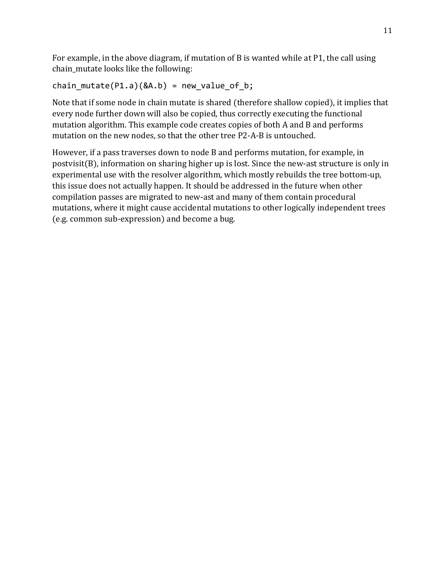For example, in the above diagram, if mutation of B is wanted while at P1, the call using chain\_mutate looks like the following:

chain mutate(P1.a)(&A.b) = new value of b;

Note that if some node in chain mutate is shared (therefore shallow copied), it implies that every node further down will also be copied, thus correctly executing the functional mutation algorithm. This example code creates copies of both A and B and performs mutation on the new nodes, so that the other tree P2-A-B is untouched.

However, if a pass traverses down to node B and performs mutation, for example, in postvisit(B), information on sharing higher up is lost. Since the new-ast structure is only in experimental use with the resolver algorithm, which mostly rebuilds the tree bottom-up, this issue does not actually happen. It should be addressed in the future when other compilation passes are migrated to new-ast and many of them contain procedural mutations, where it might cause accidental mutations to other logically independent trees (e.g. common sub-expression) and become a bug.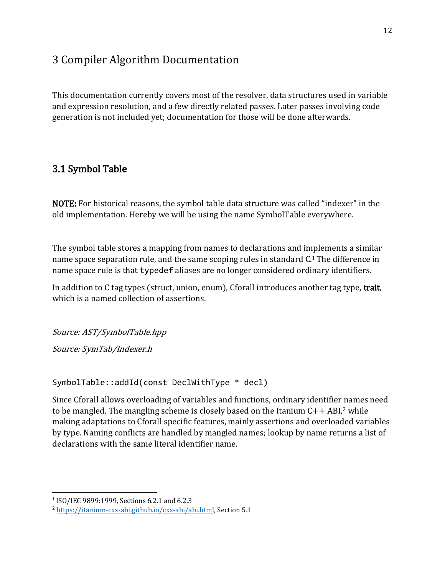# 3 Compiler Algorithm Documentation

This documentation currently covers most of the resolver, data structures used in variable and expression resolution, and a few directly related passes. Later passes involving code generation is not included yet; documentation for those will be done afterwards.

# 3.1 Symbol Table

NOTE: For historical reasons, the symbol table data structure was called "indexer" in the old implementation. Hereby we will be using the name SymbolTable everywhere.

The symbol table stores a mapping from names to declarations and implements a similar name space separation rule, and the same scoping rules in standard C.1The difference in name space rule is that typedef aliases are no longer considered ordinary identifiers.

In addition to C tag types (struct, union, enum), Cforall introduces another tag type, trait, which is a named collection of assertions.

Source: AST/SymbolTable.hpp

Source: SymTab/Indexer.h

SymbolTable::addId(const DeclWithType \* decl)

Since Cforall allows overloading of variables and functions, ordinary identifier names need to be mangled. The mangling scheme is closely based on the Itanium  $C++$  ABI,<sup>2</sup> while making adaptations to Cforall specific features, mainly assertions and overloaded variables by type. Naming conflicts are handled by mangled names; lookup by name returns a list of declarations with the same literal identifier name.

<sup>1</sup> ISO/IEC 9899:1999, Sections 6.2.1 and 6.2.3

<sup>2</sup> [https://itanium-cxx-abi.github.io/cxx-abi/abi.html,](https://itanium-cxx-abi.github.io/cxx-abi/abi.html) Section 5.1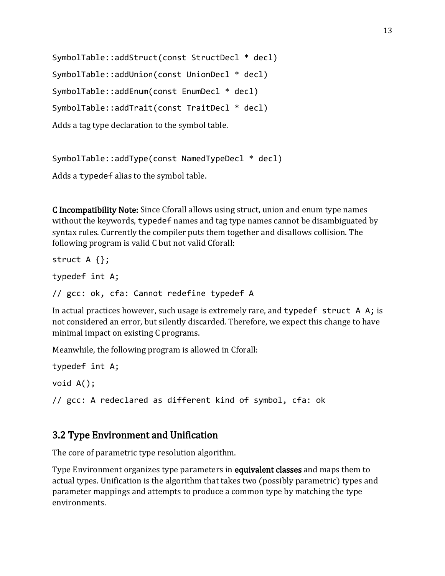```
SymbolTable::addStruct(const StructDecl * decl)
SymbolTable::addUnion(const UnionDecl * decl)
SymbolTable::addEnum(const EnumDecl * decl)
SymbolTable::addTrait(const TraitDecl * decl)
Adds a tag type declaration to the symbol table.
```
SymbolTable::addType(const NamedTypeDecl \* decl) Adds a typedef alias to the symbol table.

C Incompatibility Note: Since Cforall allows using struct, union and enum type names without the keywords, typedef names and tag type names cannot be disambiguated by syntax rules. Currently the compiler puts them together and disallows collision. The following program is valid C but not valid Cforall:

```
struct A {};
typedef int A;
// gcc: ok, cfa: Cannot redefine typedef A
```
In actual practices however, such usage is extremely rare, and typedef struct A A; is not considered an error, but silently discarded. Therefore, we expect this change to have minimal impact on existing C programs.

Meanwhile, the following program is allowed in Cforall:

```
typedef int A;
void A();
// gcc: A redeclared as different kind of symbol, cfa: ok
```
# 3.2 Type Environment and Unification

The core of parametric type resolution algorithm.

Type Environment organizes type parameters in equivalent classes and maps them to actual types. Unification is the algorithm that takes two (possibly parametric) types and parameter mappings and attempts to produce a common type by matching the type environments.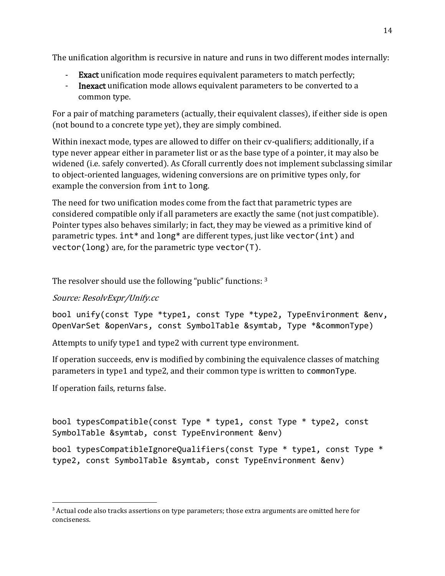The unification algorithm is recursive in nature and runs in two different modes internally:

- **Exact** unification mode requires equivalent parameters to match perfectly;
- Inexact unification mode allows equivalent parameters to be converted to a common type.

For a pair of matching parameters (actually, their equivalent classes), if either side is open (not bound to a concrete type yet), they are simply combined.

Within inexact mode, types are allowed to differ on their cv-qualifiers; additionally, if a type never appear either in parameter list or as the base type of a pointer, it may also be widened (i.e. safely converted). As Cforall currently does not implement subclassing similar to object-oriented languages, widening conversions are on primitive types only, for example the conversion from int to long.

The need for two unification modes come from the fact that parametric types are considered compatible only if all parameters are exactly the same (not just compatible). Pointer types also behaves similarly; in fact, they may be viewed as a primitive kind of parametric types. int\* and long\* are different types, just like vector(int) and vector(long) are, for the parametric type vector(T).

The resolver should use the following "public" functions: <sup>3</sup>

# Source: ResolvExpr/Unify.cc

bool unify(const Type \*type1, const Type \*type2, TypeEnvironment &env, OpenVarSet &openVars, const SymbolTable &symtab, Type \*&commonType)

Attempts to unify type1 and type2 with current type environment.

If operation succeeds, env is modified by combining the equivalence classes of matching parameters in type1 and type2, and their common type is written to commonType.

If operation fails, returns false.

bool typesCompatible(const Type \* type1, const Type \* type2, const SymbolTable &symtab, const TypeEnvironment &env)

bool typesCompatibleIgnoreQualifiers(const Type \* type1, const Type \* type2, const SymbolTable &symtab, const TypeEnvironment &env)

<sup>&</sup>lt;sup>3</sup> Actual code also tracks assertions on type parameters; those extra arguments are omitted here for conciseness.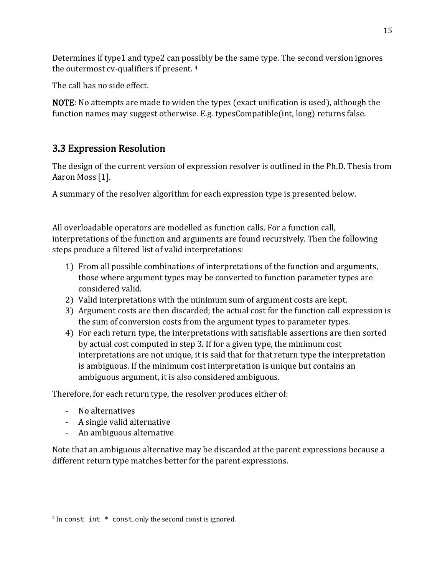Determines if type1 and type2 can possibly be the same type. The second version ignores the outermost cv-qualifiers if present. <sup>4</sup>

The call has no side effect.

NOTE: No attempts are made to widen the types (exact unification is used), although the function names may suggest otherwise. E.g. typesCompatible(int, long) returns false.

# 3.3 Expression Resolution

The design of the current version of expression resolver is outlined in the Ph.D. Thesis from Aaron Moss [1].

A summary of the resolver algorithm for each expression type is presented below.

All overloadable operators are modelled as function calls. For a function call, interpretations of the function and arguments are found recursively. Then the following steps produce a filtered list of valid interpretations:

- 1) From all possible combinations of interpretations of the function and arguments, those where argument types may be converted to function parameter types are considered valid.
- 2) Valid interpretations with the minimum sum of argument costs are kept.
- 3) Argument costs are then discarded; the actual cost for the function call expression is the sum of conversion costs from the argument types to parameter types.
- 4) For each return type, the interpretations with satisfiable assertions are then sorted by actual cost computed in step 3. If for a given type, the minimum cost interpretations are not unique, it is said that for that return type the interpretation is ambiguous. If the minimum cost interpretation is unique but contains an ambiguous argument, it is also considered ambiguous.

Therefore, for each return type, the resolver produces either of:

- No alternatives
- A single valid alternative
- An ambiguous alternative

Note that an ambiguous alternative may be discarded at the parent expressions because a different return type matches better for the parent expressions.

<sup>4</sup> In const int \* const, only the second const is ignored.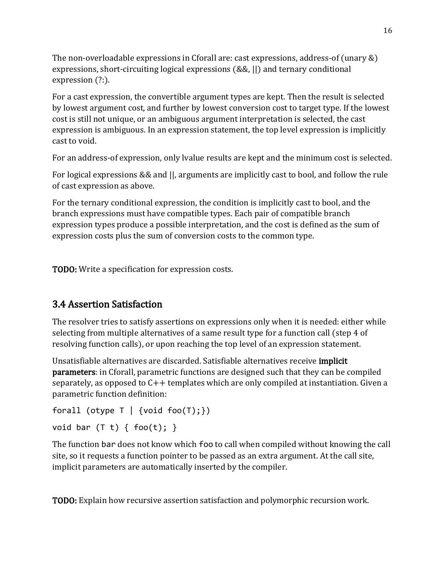The non-overloadable expressions in Cforall are: cast expressions, address-of (unary &) expressions, short-circuiting logical expressions (&&, ||) and ternary conditional expression (?:).

For a cast expression, the convertible argument types are kept. Then the result is selected by lowest argument cost, and further by lowest conversion cost to target type. If the lowest cost is still not unique, or an ambiguous argument interpretation is selected, the cast expression is ambiguous. In an expression statement, the top level expression is implicitly cast to void.

For an address-of expression, only lvalue results are kept and the minimum cost is selected.

For logical expressions && and ||, arguments are implicitly cast to bool, and follow the rule of cast expression as above.

For the ternary conditional expression, the condition is implicitly cast to bool, and the branch expressions must have compatible types. Each pair of compatible branch expression types produce a possible interpretation, and the cost is defined as the sum of expression costs plus the sum of conversion costs to the common type.

TODO: Write a specification for expression costs.

# 3.4 Assertion Satisfaction

The resolver tries to satisfy assertions on expressions only when it is needed: either while selecting from multiple alternatives of a same result type for a function call (step 4 of resolving function calls), or upon reaching the top level of an expression statement.

Unsatisfiable alternatives are discarded. Satisfiable alternatives receive implicit parameters: in Cforall, parametric functions are designed such that they can be compiled separately, as opposed to C++ templates which are only compiled at instantiation. Given a parametric function definition:

```
forall (otype T \mid \{void foo(T); \})
void bar (T t) { foo(t); }
```
The function bar does not know which foo to call when compiled without knowing the call site, so it requests a function pointer to be passed as an extra argument. At the call site, implicit parameters are automatically inserted by the compiler.

TODO: Explain how recursive assertion satisfaction and polymorphic recursion work.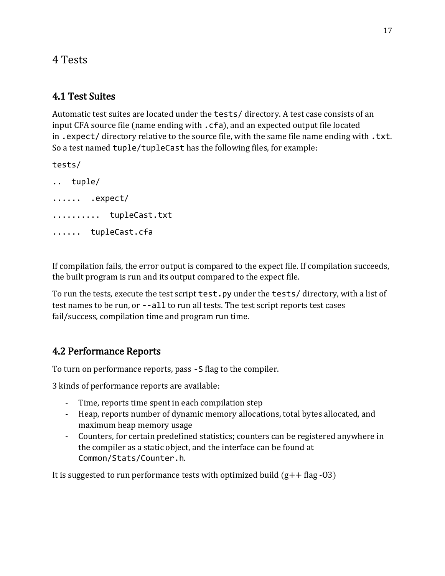4 Tests

# 4.1 Test Suites

Automatic test suites are located under the tests/ directory. A test case consists of an input CFA source file (name ending with . cfa), and an expected output file located in . expect/ directory relative to the source file, with the same file name ending with . txt. So a test named tuple/tupleCast has the following files, for example:

tests/

.. tuple/ ...... .expect/ .......... tupleCast.txt ...... tupleCast.cfa

If compilation fails, the error output is compared to the expect file. If compilation succeeds, the built program is run and its output compared to the expect file.

To run the tests, execute the test script test.py under the tests/ directory, with a list of test names to be run, or --all to run all tests. The test script reports test cases fail/success, compilation time and program run time.

# 4.2 Performance Reports

To turn on performance reports, pass -S flag to the compiler.

3 kinds of performance reports are available:

- Time, reports time spent in each compilation step
- Heap, reports number of dynamic memory allocations, total bytes allocated, and maximum heap memory usage
- Counters, for certain predefined statistics; counters can be registered anywhere in the compiler as a static object, and the interface can be found at Common/Stats/Counter.h.

It is suggested to run performance tests with optimized build  $(g++flag-03)$